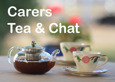## **Carers Tea & Chat**